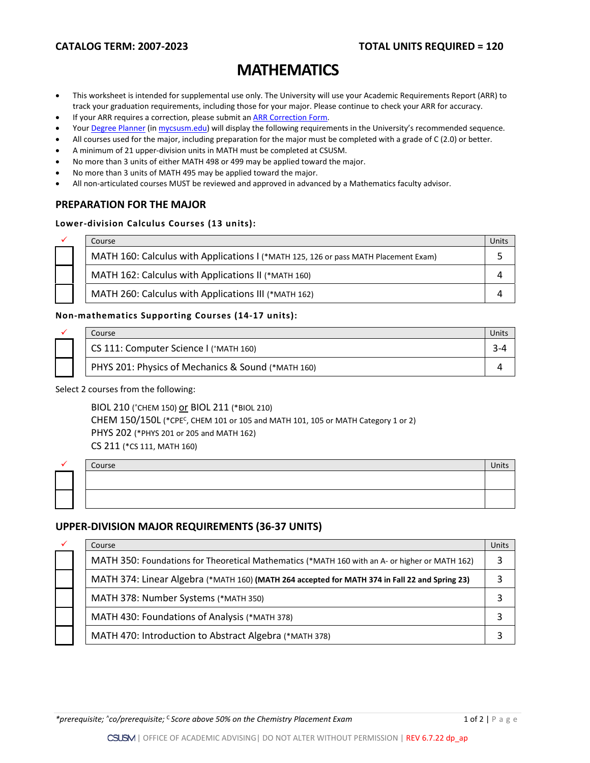# **MATHEMATICS**

- This worksheet is intended for supplemental use only. The University will use your Academic Requirements Report (ARR) to track your graduation requirements, including those for your major. Please continue to check your ARR for accuracy.
- If your ARR requires a correction, please submit an **[ARR Correction Form.](http://www.csusm.edu/academicadvising/arrcorrection/index.html)**
- You[r Degree Planner](https://www.csusm.edu/academicadvising/degreeplanner/index.html) (i[n mycsusm.edu\)](https://my.csusm.edu/) will display the following requirements in the University's recommended sequence.
- All courses used for the major, including preparation for the major must be completed with a grade of C (2.0) or better.
- A minimum of 21 upper-division units in MATH must be completed at CSUSM.
- No more than 3 units of either MATH 498 or 499 may be applied toward the major.
- No more than 3 units of MATH 495 may be applied toward the major.
- All non-articulated courses MUST be reviewed and approved in advanced by a Mathematics faculty advisor.

### **PREPARATION FOR THE MAJOR**

#### **Lower-division Calculus Courses (13 units):**

| ✓ | Course                                                                              | Unit: |
|---|-------------------------------------------------------------------------------------|-------|
|   | MATH 160: Calculus with Applications I (*MATH 125, 126 or pass MATH Placement Exam) |       |
|   | MATH 162: Calculus with Applications II (*MATH 160)                                 |       |
|   | MATH 260: Calculus with Applications III (*MATH 162)                                |       |

#### **Non-mathematics Supporting Courses (14-17 units):**

|  | Course                                             |  |
|--|----------------------------------------------------|--|
|  | CS 111: Computer Science I (^MATH 160)             |  |
|  | PHYS 201: Physics of Mechanics & Sound (*MATH 160) |  |

#### Select 2 courses from the following:

BIOL 210 (^CHEM 150) or BIOL 211 (\*BIOL 210) CHEM 150/150L (\*CPEC, CHEM 101 or 105 and MATH 101, 105 or MATH Category 1 or 2) PHYS 202 (\*PHYS 201 or 205 and MATH 162) CS 211 (\*CS 111, MATH 160)

|  | Course | Units |
|--|--------|-------|
|  |        |       |
|  |        |       |

## **UPPER-DIVISION MAJOR REQUIREMENTS (36-37 UNITS)**

|  | Course                                                                                         | Units |
|--|------------------------------------------------------------------------------------------------|-------|
|  | MATH 350: Foundations for Theoretical Mathematics (*MATH 160 with an A- or higher or MATH 162) |       |
|  | MATH 374: Linear Algebra (*MATH 160) (MATH 264 accepted for MATH 374 in Fall 22 and Spring 23) |       |
|  | MATH 378: Number Systems (*MATH 350)                                                           |       |
|  | MATH 430: Foundations of Analysis (*MATH 378)                                                  |       |
|  | MATH 470: Introduction to Abstract Algebra (*MATH 378)                                         |       |

**\*prerequisite; ^co/prerequisite; <sup>c</sup> Score above 50% on the Chemistry Placement Exam 1 of 2 | P age 1 of 2 | P age 1 of 2 | P age 1 of 2 | P age 1 of 2 | P age 1 of 2 | P age 1 of 2 | P age 1 of 2 | P age 1 of 2 | P age 1**